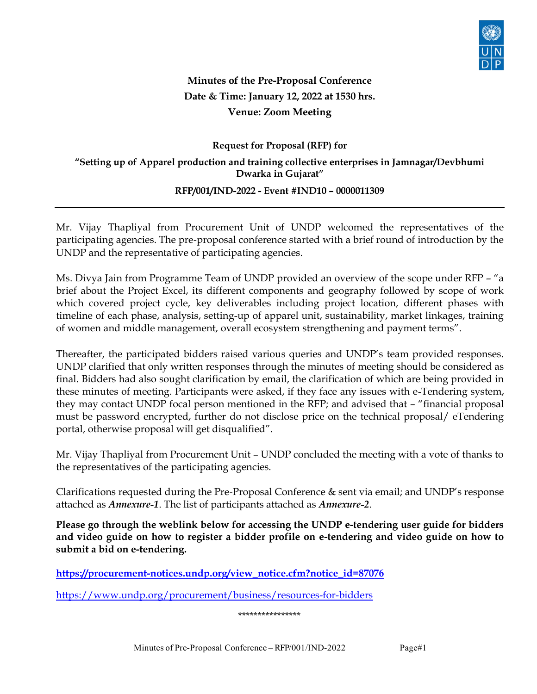

# Minutes of the Pre-Proposal Conference Date & Time: January 12, 2022 at 1530 hrs. Venue: Zoom Meeting

# Request for Proposal (RFP) for "Setting up of Apparel production and training collective enterprises in Jamnagar/Devbhumi Dwarka in Gujarat"

## RFP/001/IND-2022 - Event #IND10 – 0000011309

Mr. Vijay Thapliyal from Procurement Unit of UNDP welcomed the representatives of the participating agencies. The pre‐proposal conference started with a brief round of introduction by the UNDP and the representative of participating agencies.

Ms. Divya Jain from Programme Team of UNDP provided an overview of the scope under RFP – "a brief about the Project Excel, its different components and geography followed by scope of work which covered project cycle, key deliverables including project location, different phases with timeline of each phase, analysis, setting-up of apparel unit, sustainability, market linkages, training of women and middle management, overall ecosystem strengthening and payment terms".

Thereafter, the participated bidders raised various queries and UNDP's team provided responses. UNDP clarified that only written responses through the minutes of meeting should be considered as final. Bidders had also sought clarification by email, the clarification of which are being provided in these minutes of meeting. Participants were asked, if they face any issues with e‐Tendering system, they may contact UNDP focal person mentioned in the RFP; and advised that – "financial proposal must be password encrypted, further do not disclose price on the technical proposal/ eTendering portal, otherwise proposal will get disqualified".

Mr. Vijay Thapliyal from Procurement Unit – UNDP concluded the meeting with a vote of thanks to the representatives of the participating agencies.

Clarifications requested during the Pre‐Proposal Conference & sent via email; and UNDP's response attached as Annexure-1. The list of participants attached as Annexure-2.

Please go through the weblink below for accessing the UNDP e-tendering user guide for bidders and video guide on how to register a bidder profile on e-tendering and video guide on how to submit a bid on e-tendering.

https://procurement-notices.undp.org/view\_notice.cfm?notice\_id=87076

https://www.undp.org/procurement/business/resources-for-bidders

#### \*\*\*\*\*\*\*\*\*\*\*\*\*\*\*\*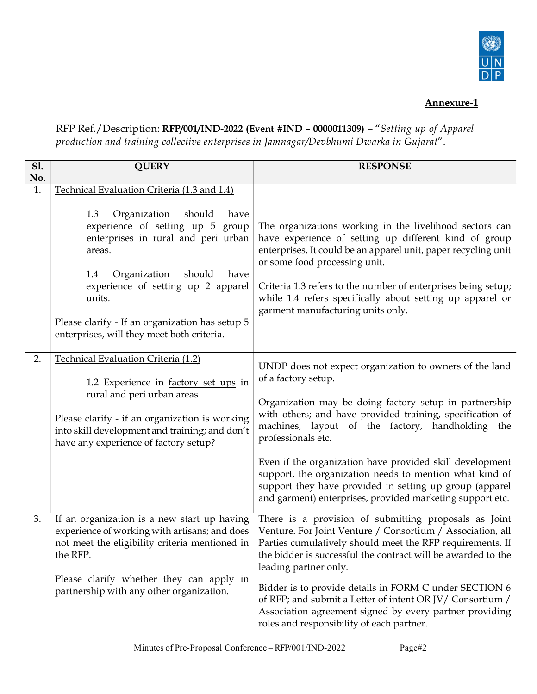

## Annexure-1

RFP Ref./Description: RFP/001/IND-2022 (Event #IND – 0000011309) – "Setting up of Apparel production and training collective enterprises in Jamnagar/Devbhumi Dwarka in Gujarat".

| <b>S1.</b><br>No. | <b>QUERY</b>                                                                                                                                                                                                                                                                                                                                                           | <b>RESPONSE</b>                                                                                                                                                                                                                                                                                                                                                                                                                                                                                                                |
|-------------------|------------------------------------------------------------------------------------------------------------------------------------------------------------------------------------------------------------------------------------------------------------------------------------------------------------------------------------------------------------------------|--------------------------------------------------------------------------------------------------------------------------------------------------------------------------------------------------------------------------------------------------------------------------------------------------------------------------------------------------------------------------------------------------------------------------------------------------------------------------------------------------------------------------------|
| 1.                | Technical Evaluation Criteria (1.3 and 1.4)<br>1.3<br>should<br>Organization<br>have<br>experience of setting up 5<br>group<br>enterprises in rural and peri urban<br>areas.<br>Organization<br>should<br>have<br>1.4<br>experience of setting up 2 apparel<br>units.<br>Please clarify - If an organization has setup 5<br>enterprises, will they meet both criteria. | The organizations working in the livelihood sectors can<br>have experience of setting up different kind of group<br>enterprises. It could be an apparel unit, paper recycling unit<br>or some food processing unit.<br>Criteria 1.3 refers to the number of enterprises being setup;<br>while 1.4 refers specifically about setting up apparel or<br>garment manufacturing units only.                                                                                                                                         |
| 2.                | Technical Evaluation Criteria (1.2)<br>1.2 Experience in factory set ups in<br>rural and peri urban areas<br>Please clarify - if an organization is working<br>into skill development and training; and don't<br>have any experience of factory setup?                                                                                                                 | UNDP does not expect organization to owners of the land<br>of a factory setup.<br>Organization may be doing factory setup in partnership<br>with others; and have provided training, specification of<br>machines, layout of the factory, handholding the<br>professionals etc.<br>Even if the organization have provided skill development<br>support, the organization needs to mention what kind of<br>support they have provided in setting up group (apparel<br>and garment) enterprises, provided marketing support etc. |
| 3.                | If an organization is a new start up having<br>experience of working with artisans; and does<br>not meet the eligibility criteria mentioned in<br>the RFP.<br>Please clarify whether they can apply in<br>partnership with any other organization.                                                                                                                     | There is a provision of submitting proposals as Joint<br>Venture. For Joint Venture / Consortium / Association, all<br>Parties cumulatively should meet the RFP requirements. If<br>the bidder is successful the contract will be awarded to the<br>leading partner only.<br>Bidder is to provide details in FORM C under SECTION 6<br>of RFP; and submit a Letter of intent OR JV/ Consortium /<br>Association agreement signed by every partner providing<br>roles and responsibility of each partner.                       |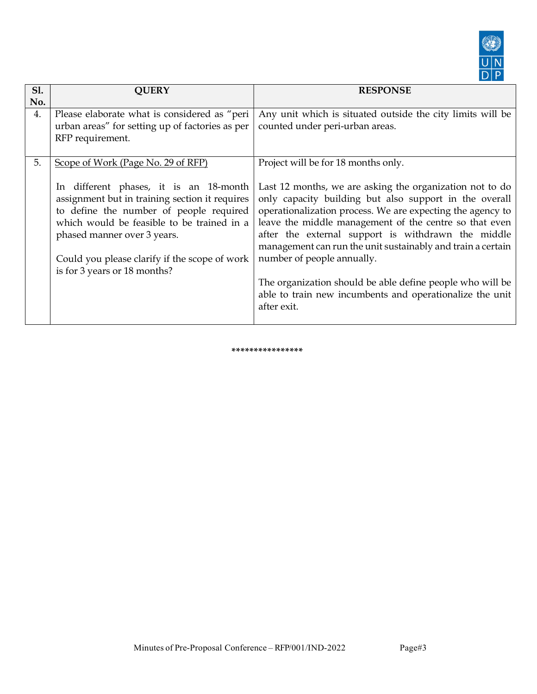

| <b>S1.</b><br>No. | <b>QUERY</b>                                                                                                                                                                                                                                                                                                                            | <b>RESPONSE</b>                                                                                                                                                                                                                                                                                                                                                                                                                                                                                                                                                              |
|-------------------|-----------------------------------------------------------------------------------------------------------------------------------------------------------------------------------------------------------------------------------------------------------------------------------------------------------------------------------------|------------------------------------------------------------------------------------------------------------------------------------------------------------------------------------------------------------------------------------------------------------------------------------------------------------------------------------------------------------------------------------------------------------------------------------------------------------------------------------------------------------------------------------------------------------------------------|
| 4.                | Please elaborate what is considered as "peri<br>urban areas" for setting up of factories as per<br>RFP requirement.                                                                                                                                                                                                                     | Any unit which is situated outside the city limits will be<br>counted under peri-urban areas.                                                                                                                                                                                                                                                                                                                                                                                                                                                                                |
| 5.                | Scope of Work (Page No. 29 of RFP)<br>In different phases, it is an 18-month<br>assignment but in training section it requires<br>to define the number of people required<br>which would be feasible to be trained in a<br>phased manner over 3 years.<br>Could you please clarify if the scope of work<br>is for 3 years or 18 months? | Project will be for 18 months only.<br>Last 12 months, we are asking the organization not to do<br>only capacity building but also support in the overall<br>operationalization process. We are expecting the agency to<br>leave the middle management of the centre so that even<br>after the external support is withdrawn the middle<br>management can run the unit sustainably and train a certain<br>number of people annually.<br>The organization should be able define people who will be<br>able to train new incumbents and operationalize the unit<br>after exit. |

\*\*\*\*\*\*\*\*\*\*\*\*\*\*\*\*